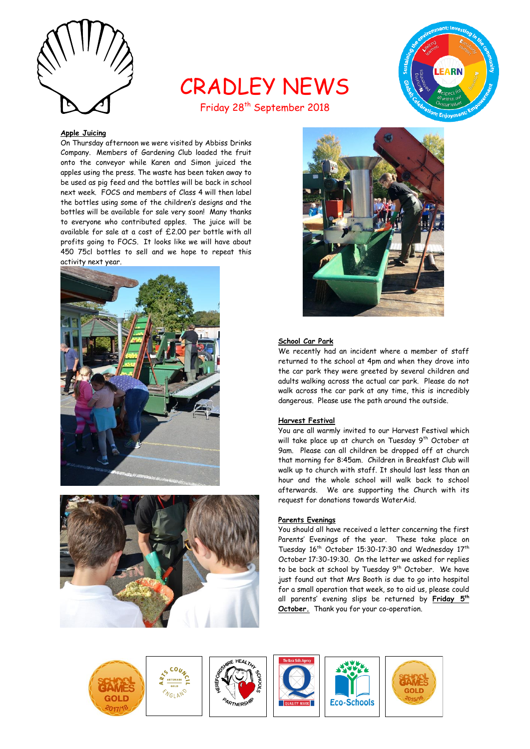

# CRADLEY NEWS Friday 28<sup>th</sup> September 2018



# **Apple Juicing**

On Thursday afternoon we were visited by Abbiss Drinks Company. Members of Gardening Club loaded the fruit onto the conveyor while Karen and Simon juiced the apples using the press. The waste has been taken away to be used as pig feed and the bottles will be back in school next week. FOCS and members of Class 4 will then label the bottles using some of the children's designs and the bottles will be available for sale very soon! Many thanks to everyone who contributed apples. The juice will be available for sale at a cost of £2.00 per bottle with all profits going to FOCS. It looks like we will have about 450 75cl bottles to sell and we hope to repeat this activity next year.







#### **School Car Park**

We recently had an incident where a member of staff returned to the school at 4pm and when they drove into the car park they were greeted by several children and adults walking across the actual car park. Please do not walk across the car park at any time, this is incredibly dangerous. Please use the path around the outside.

#### **Harvest Festival**

You are all warmly invited to our Harvest Festival which will take place up at church on Tuesday 9<sup>th</sup> October at 9am. Please can all children be dropped off at church that morning for 8:45am. Children in Breakfast Club will walk up to church with staff. It should last less than an hour and the whole school will walk back to school afterwards. We are supporting the Church with its request for donations towards WaterAid.

# **Parents Evenings**

You should all have received a letter concerning the first Parents' Evenings of the year. These take place on Tuesday 16<sup>th</sup> October 15:30-17:30 and Wednesday 17<sup>th</sup> October 17:30-19:30. On the letter we asked for replies to be back at school by Tuesday 9<sup>th</sup> October. We have just found out that Mrs Booth is due to go into hospital for a small operation that week, so to aid us, please could all parents' evening slips be returned by **Friday 5th October.** Thank you for your co-operation.











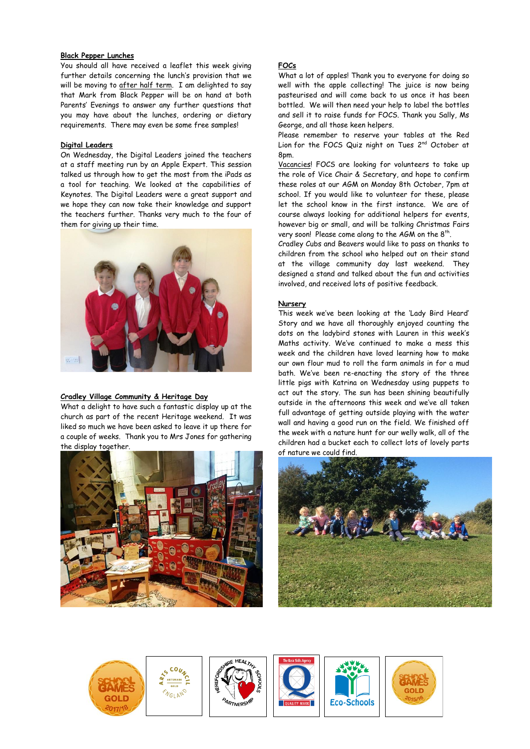## **Black Pepper Lunches**

You should all have received a leaflet this week giving further details concerning the lunch's provision that we will be moving to after half term. I am delighted to say that Mark from Black Pepper will be on hand at both Parents' Evenings to answer any further questions that you may have about the lunches, ordering or dietary requirements. There may even be some free samples!

#### **Digital Leaders**

On Wednesday, the Digital Leaders joined the teachers at a staff meeting run by an Apple Expert. This session talked us through how to get the most from the iPads as a tool for teaching. We looked at the capabilities of Keynotes. The Digital Leaders were a great support and we hope they can now take their knowledge and support the teachers further. Thanks very much to the four of them for giving up their time.



# **Cradley Village Community & Heritage Day**

What a delight to have such a fantastic display up at the church as part of the recent Heritage weekend. It was liked so much we have been asked to leave it up there for a couple of weeks. Thank you to Mrs Jones for gathering the display together.



# **FOCs**

What a lot of apples! Thank you to everyone for doing so well with the apple collecting! The juice is now being pasteurised and will come back to us once it has been bottled. We will then need your help to label the bottles and sell it to raise funds for FOCS. Thank you Sally, Ms George, and all those keen helpers.

Please remember to reserve your tables at the Red Lion for the FOCS Quiz night on Tues 2<sup>nd</sup> October at 8pm.

Vacancies! FOCS are looking for volunteers to take up the role of Vice Chair & Secretary, and hope to confirm these roles at our AGM on Monday 8th October, 7pm at school. If you would like to volunteer for these, please let the school know in the first instance. We are of course always looking for additional helpers for events, however big or small, and will be talking Christmas Fairs very soon! Please come along to the AGM on the  $8^{\text{th}}$ .

Cradley Cubs and Beavers would like to pass on thanks to children from the school who helped out on their stand at the village community day last weekend. They designed a stand and talked about the fun and activities involved, and received lots of positive feedback.

## **Nursery**

This week we've been looking at the 'Lady Bird Heard' Story and we have all thoroughly enjoyed counting the dots on the ladybird stones with Lauren in this week's Maths activity. We've continued to make a mess this week and the children have loved learning how to make our own flour mud to roll the farm animals in for a mud bath. We've been re-enacting the story of the three little pigs with Katrina on Wednesday using puppets to act out the story. The sun has been shining beautifully outside in the afternoons this week and we've all taken full advantage of getting outside playing with the water wall and having a good run on the field. We finished off the week with a nature hunt for our welly walk, all of the children had a bucket each to collect lots of lovely parts of nature we could find.





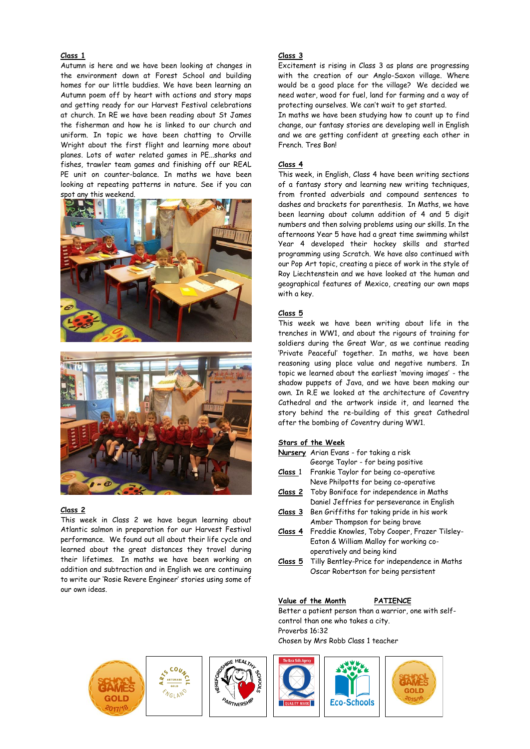# **Class 1**

Autumn is here and we have been looking at changes in the environment down at Forest School and building homes for our little buddies. We have been learning an Autumn poem off by heart with actions and story maps and getting ready for our Harvest Festival celebrations at church. In RE we have been reading about St James the fisherman and how he is linked to our church and uniform. In topic we have been chatting to Orville Wright about the first flight and learning more about planes. Lots of water related games in PE...sharks and fishes, trawler team games and finishing off our REAL PE unit on counter-balance. In maths we have been looking at repeating patterns in nature. See if you can spot any this weekend.





#### **Class 2**

This week in Class 2 we have begun learning about Atlantic salmon in preparation for our Harvest Festival performance. We found out all about their life cycle and learned about the great distances they travel during their lifetimes. In maths we have been working on addition and subtraction and in English we are continuing to write our 'Rosie Revere Engineer' stories using some of our own ideas.

# **Class 3**

Excitement is rising in Class 3 as plans are progressing with the creation of our Anglo-Saxon village. Where would be a good place for the village? We decided we need water, wood for fuel, land for farming and a way of protecting ourselves. We can't wait to get started.

In maths we have been studying how to count up to find change, our fantasy stories are developing well in English and we are getting confident at greeting each other in French. Tres Bon!

#### **Class 4**

This week, in English, Class 4 have been writing sections of a fantasy story and learning new writing techniques, from fronted adverbials and compound sentences to dashes and brackets for parenthesis. In Maths, we have been learning about column addition of 4 and 5 digit numbers and then solving problems using our skills. In the afternoons Year 5 have had a great time swimming whilst Year 4 developed their hockey skills and started programming using Scratch. We have also continued with our Pop Art topic, creating a piece of work in the style of Roy Liechtenstein and we have looked at the human and geographical features of Mexico, creating our own maps with a key.

#### **Class 5**

This week we have been writing about life in the trenches in WW1, and about the rigours of training for soldiers during the Great War, as we continue reading 'Private Peaceful' together. In maths, we have been reasoning using place value and negative numbers. In topic we learned about the earliest 'moving images' - the shadow puppets of Java, and we have been making our own. In R.E we looked at the architecture of Coventry Cathedral and the artwork inside it, and learned the story behind the re-building of this great Cathedral after the bombing of Coventry during WW1.

#### **Stars of the Week**

- **Nursery** Arian Evans for taking a risk
- George Taylor for being positive **Class** 1 Frankie Taylor for being co-operative
- Neve Philpotts for being co-operative
- **Class 2** Toby Boniface for independence in Maths Daniel Jeffries for perseverance in English
- **Class 3** Ben Griffiths for taking pride in his work Amber Thompson for being brave
- **Class 4** Freddie Knowles, Toby Cooper, Frazer Tilsley-Eaton & William Malloy for working cooperatively and being kind
- **Class 5** Tilly Bentley-Price for independence in Maths Oscar Robertson for being persistent

#### **Value of the Month PATIENCE**

Better a patient person than a warrior, one with selfcontrol than one who takes a city. Proverbs 16:32 Chosen by Mrs Robb Class 1 teacher